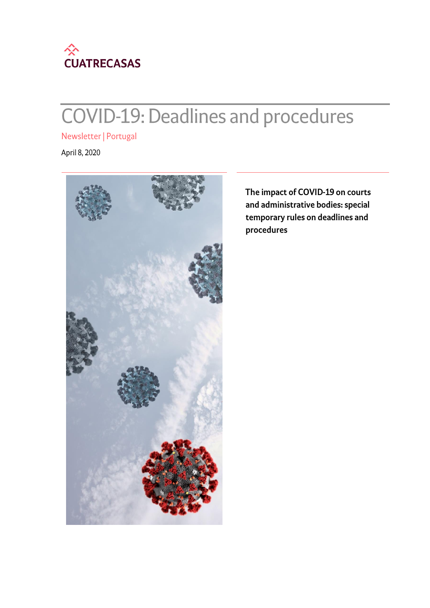

# **COVID-19: Deadlines and procedures**

Newsletter | Portugal

April 8, 2020



The impact of COVID-19 on courts and administrative bodies: special temporary rules on deadlines and procedures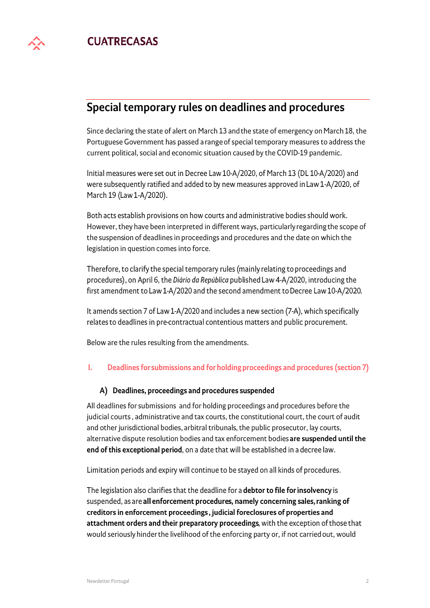

# Special temporary rules on deadlines and procedures

Since declaring the state of alert on March 13 and the state of emergency on March 18, the Portuguese Government has passed a range of special temporary measures to address the current political, social and economic situation caused by the COVID-19 pandemic.

Initial measures were set out in Decree Law 10-A/2020, of March 13 (DL 10-A/2020) and were subsequently ratified and added to by new measures approved in Law 1-A/2020, of March 19 (Law 1-A/2020).

Both acts establish provisions on how courts and administrative bodies should work. However, they have been interpreted in different ways, particularly regarding the scope of the suspension of deadlines in proceedings and procedures and the date on which the legislation in question comes into force.

Therefore, to clarify the special temporary rules (mainly relating to proceedings and procedures), on April 6, the Diário da República published Law 4-A/2020, introducing the first amendment to Law 1-A/2020 and the second amendment to Decree Law 10-A/2020.

It amends section 7 of Law 1-A/2020 and includes a new section (7-A), which specifically relates to deadlines in pre-contractual contentious matters and public procurement.

Below are the rules resulting from the amendments.

#### Deadlines for submissions and for holding proceedings and procedures (section 7) L

### A) Deadlines, proceedings and procedures suspended

All deadlines for submissions and for holding proceedings and procedures before the judicial courts, administrative and tax courts, the constitutional court, the court of audit and other jurisdictional bodies, arbitral tribunals, the public prosecutor, lay courts, alternative dispute resolution bodies and tax enforcement bodies are suspended until the end of this exceptional period, on a date that will be established in a decree law.

Limitation periods and expiry will continue to be stayed on all kinds of procedures.

The legislation also clarifies that the deadline for a debtor to file for insolvency is suspended, as are all enforcement procedures, namely concerning sales, ranking of creditors in enforcement proceedings, judicial foreclosures of properties and attachment orders and their preparatory proceedings, with the exception of those that would seriously hinder the livelihood of the enforcing party or, if not carried out, would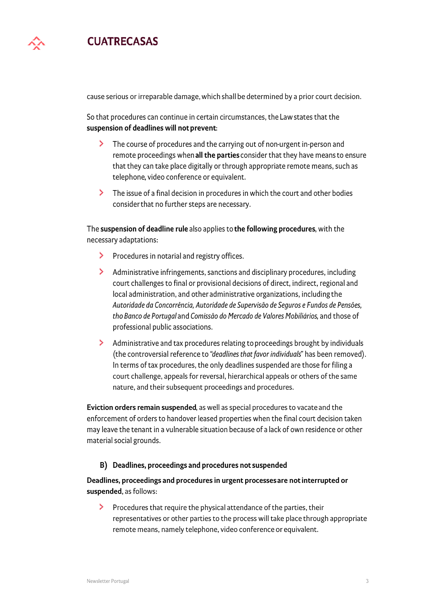

cause serious or irreparable damage, which shall be determined by a prior court decision.

So that procedures can continue in certain circumstances, the Law states that the suspension of deadlines will not prevent:

- ⋗ The course of procedures and the carrying out of non-urgent in-person and remote proceedings when all the parties consider that they have means to ensure that they can take place digitally or through appropriate remote means, such as telephone, video conference or equivalent.
- $\blacktriangleright$ The issue of a final decision in procedures in which the court and other bodies consider that no further steps are necessary.

The suspension of deadline rule also applies to the following procedures, with the necessary adaptations:

- > Procedures in notarial and registry offices.
- Administrative infringements, sanctions and disciplinary procedures, including  $\blacktriangleright$ court challenges to final or provisional decisions of direct, indirect, regional and local administration, and other administrative organizations, including the Autoridade da Concorrência, Autoridade de Supervisão de Seguros e Fundos de Pensões, tho Banco de Portugal and Comissão do Mercado de Valores Mobiliários, and those of professional public associations.
- > Administrative and tax procedures relating to proceedings brought by individuals (the controversial reference to "deadlines that favor individuals" has been removed). In terms of tax procedures, the only deadlines suspended are those for filing a court challenge, appeals for reversal, hierarchical appeals or others of the same nature, and their subsequent proceedings and procedures.

Eviction orders remain suspended, as well as special procedures to vacate and the enforcement of orders to handover leased properties when the final court decision taken may leave the tenant in a vulnerable situation because of a lack of own residence or other material social grounds.

### B) Deadlines, proceedings and procedures not suspended

### Deadlines, proceedings and procedures in urgent processes are not interrupted or suspended, as follows:

⋗ Procedures that require the physical attendance of the parties, their representatives or other parties to the process will take place through appropriate remote means, namely telephone, video conference or equivalent.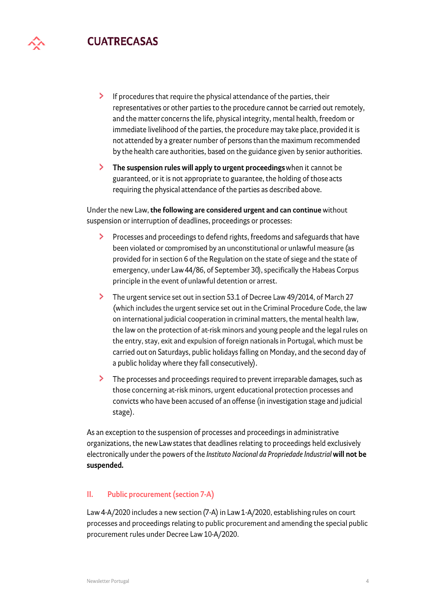

- $\blacktriangleright$ If procedures that require the physical attendance of the parties, their representatives or other parties to the procedure cannot be carried out remotely, and the matter concerns the life, physical integrity, mental health, freedom or immediate livelihood of the parties, the procedure may take place, provided it is not attended by a greater number of persons than the maximum recommended by the health care authorities, based on the guidance given by senior authorities.
- $\blacktriangleright$ The suspension rules will apply to urgent proceedings when it cannot be guaranteed, or it is not appropriate to guarantee, the holding of those acts requiring the physical attendance of the parties as described above.

Under the new Law, the following are considered urgent and can continue without suspension or interruption of deadlines, proceedings or processes:

- $\overline{\phantom{0}}$ Processes and proceedings to defend rights, freedoms and safeguards that have been violated or compromised by an unconstitutional or unlawful measure (as provided for in section 6 of the Regulation on the state of siege and the state of emergency, under Law 44/86, of September 30), specifically the Habeas Corpus principle in the event of unlawful detention or arrest.
- $\blacktriangleright$ The urgent service set out in section 53.1 of Decree Law 49/2014, of March 27 (which includes the urgent service set out in the Criminal Procedure Code, the law on international judicial cooperation in criminal matters, the mental health law, the law on the protection of at-risk minors and young people and the legal rules on the entry, stay, exit and expulsion of foreign nationals in Portugal, which must be carried out on Saturdays, public holidays falling on Monday, and the second day of a public holiday where they fall consecutively).
- $\blacktriangleright$ The processes and proceedings required to prevent irreparable damages, such as those concerning at-risk minors, urgent educational protection processes and convicts who have been accused of an offense (in investigation stage and judicial stage).

As an exception to the suspension of processes and proceedings in administrative organizations, the new Law states that deadlines relating to proceedings held exclusively electronically under the powers of the Instituto Nacional da Propriedade Industrial will not be suspended.

#### П. **Public procurement (section 7-A)**

Law 4-A/2020 includes a new section (7-A) in Law 1-A/2020, establishing rules on court processes and proceedings relating to public procurement and amending the special public procurement rules under Decree Law 10-A/2020.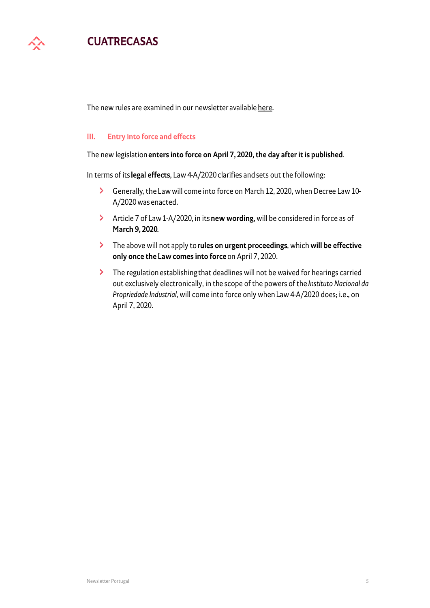

The new rules are examined in our newsletter available here.

#### III. **Entry into force and effects**

### The new legislation enters into force on April 7, 2020, the day after it is published.

In terms of its legal effects, Law 4-A/2020 clarifies and sets out the following:

- $\sum_{i=1}^{n}$ Generally, the Law will come into force on March 12, 2020, when Decree Law 10-A/2020 was enacted.
- $\blacktriangleright$ Article 7 of Law 1-A/2020, in its new wording, will be considered in force as of March 9, 2020.
- $\blacktriangleright$ The above will not apply to rules on urgent proceedings, which will be effective only once the Law comes into force on April 7, 2020.
- $\blacktriangleright$ The regulation establishing that deadlines will not be waived for hearings carried out exclusively electronically, in the scope of the powers of the Instituto Nacional da Propriedade Industrial, will come into force only when Law 4-A/2020 does; i.e., on April 7, 2020.